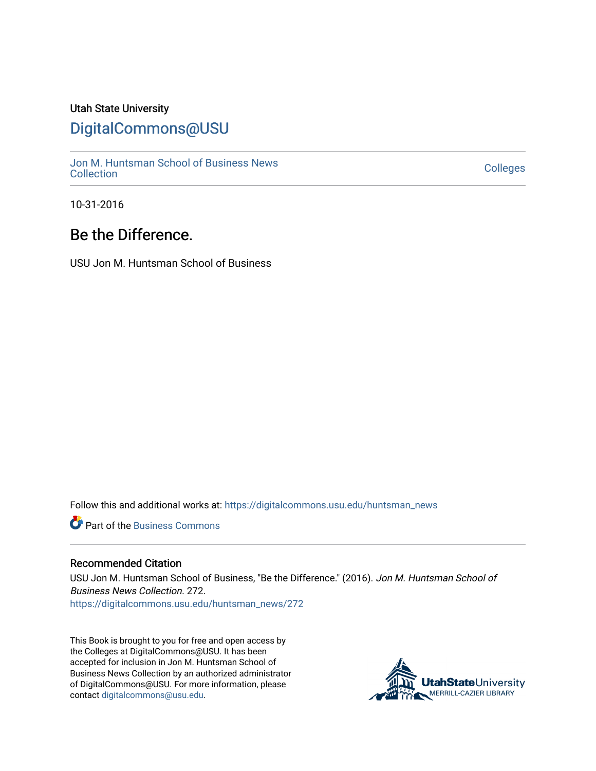### Utah State University

## [DigitalCommons@USU](https://digitalcommons.usu.edu/)

[Jon M. Huntsman School of Business News](https://digitalcommons.usu.edu/huntsman_news)  Soft M. Huntsman School of Business News<br>[Collection](https://digitalcommons.usu.edu/huntsman_news) Colleges

10-31-2016

## Be the Difference.

USU Jon M. Huntsman School of Business

Follow this and additional works at: [https://digitalcommons.usu.edu/huntsman\\_news](https://digitalcommons.usu.edu/huntsman_news?utm_source=digitalcommons.usu.edu%2Fhuntsman_news%2F272&utm_medium=PDF&utm_campaign=PDFCoverPages) 

**C** Part of the [Business Commons](http://network.bepress.com/hgg/discipline/622?utm_source=digitalcommons.usu.edu%2Fhuntsman_news%2F272&utm_medium=PDF&utm_campaign=PDFCoverPages)

#### Recommended Citation

USU Jon M. Huntsman School of Business, "Be the Difference." (2016). Jon M. Huntsman School of Business News Collection. 272. [https://digitalcommons.usu.edu/huntsman\\_news/272](https://digitalcommons.usu.edu/huntsman_news/272?utm_source=digitalcommons.usu.edu%2Fhuntsman_news%2F272&utm_medium=PDF&utm_campaign=PDFCoverPages) 

This Book is brought to you for free and open access by the Colleges at DigitalCommons@USU. It has been accepted for inclusion in Jon M. Huntsman School of Business News Collection by an authorized administrator of DigitalCommons@USU. For more information, please contact [digitalcommons@usu.edu](mailto:digitalcommons@usu.edu).

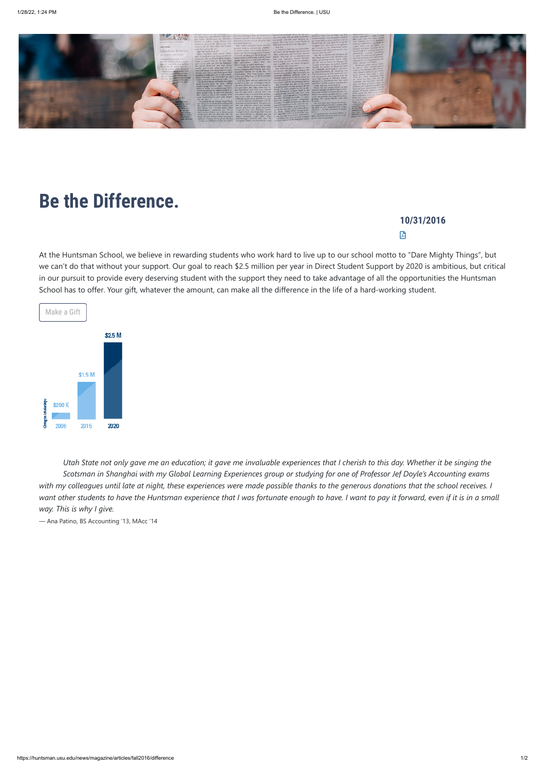

## **10/31/2016** 囟

# **Be the Difference.**

At the Huntsman School, we believe in rewarding students who work hard to live up to our school motto to "Dare Mighty Things", but we can't do that without your support. Our goal to reach \$2.5 million per year in Direct Student Support by 2020 is ambitious, but critical in our pursuit to provide every deserving student with the support they need to take advantage of all the opportunities the Huntsman School has to offer. Your gift, whatever the amount, can make all the difference in the life of a hard-working student.



*Utah State not only gave me an education; it gave me invaluable experiences that I cherish to this day. Whether it be singing the Scotsman in Shanghai with my Global Learning Experiences group or studying for one of Professor Jef Doyle's Accounting exams with my colleagues until late at night, these experiences were made possible thanks to the generous donations that the school receives. I want other students to have the Huntsman experience that I was fortunate enough to have. I want to pay it forward, even if it is in a small way. This is why I give.*

— Ana Patino, BS Accounting '13, MAcc '14

https://huntsman.usu.edu/news/magazine/articles/fall2016/difference 1/2